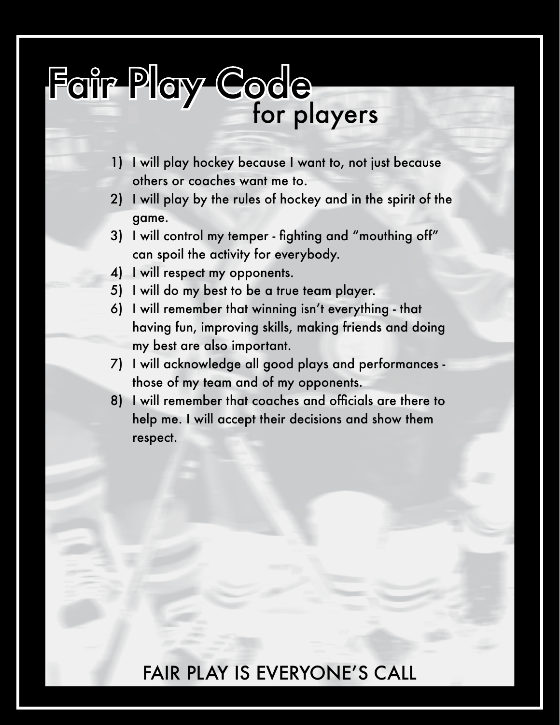# Fair Play Code **for players**

- 1) I will play hockey because I want to, not just because others or coaches want me to.
- 2) I will play by the rules of hockey and in the spirit of the game.
- 3) I will control my temper fighting and "mouthing off" can spoil the activity for everybody.
- 4) I will respect my opponents.
- 5) I will do my best to be a true team player.
- 6) I will remember that winning isn't everything that having fun, improving skills, making friends and doing my best are also important.
- 7) I will acknowledge all good plays and performances those of my team and of my opponents.
- 8) I will remember that coaches and officials are there to help me. I will accept their decisions and show them respect.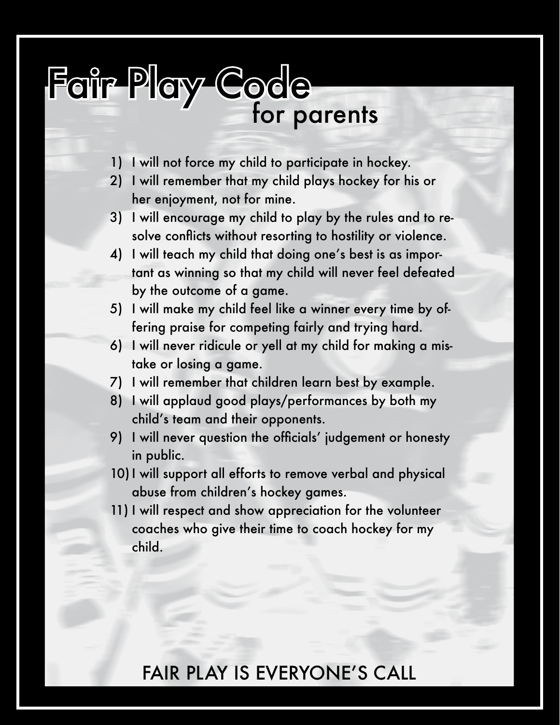## Fair Play Code **for parents**

- 1) I will not force my child to participate in hockey.
- 2) I will remember that my child plays hockey for his or her enjoyment, not for mine.
- 3) I will encourage my child to play by the rules and to resolve conflicts without resorting to hostility or violence.
- 4) I will teach my child that doing one's best is as important as winning so that my child will never feel defeated by the outcome of a game.
- 5) I will make my child feel like a winner every time by offering praise for competing fairly and trying hard.
- 6) I will never ridicule or yell at my child for making a mistake or losing a game.
- 7) I will remember that children learn best by example.
- 8) I will applaud good plays/performances by both my child's team and their opponents.
- 9) I will never question the officials' judgement or honesty in public.
- 10)I will support all efforts to remove verbal and physical abuse from children's hockey games.
- 11) I will respect and show appreciation for the volunteer coaches who give their time to coach hockey for my child.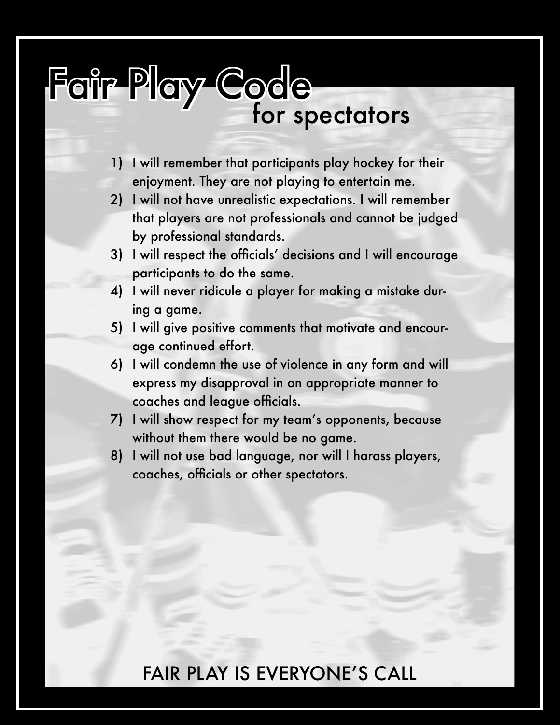## Fair Play Code *for spectators*

- 1) I will remember that participants play hockey for their enjoyment. They are not playing to entertain me.
- 2) I will not have unrealistic expectations. I will remember that players are not professionals and cannot be judged by professional standards.
- 3) I will respect the officials' decisions and I will encourage participants to do the same.
- 4) I will never ridicule a player for making a mistake during a game.
- 5) I will give positive comments that motivate and encourage continued effort.
- 6) I will condemn the use of violence in any form and will express my disapproval in an appropriate manner to coaches and league officials.
- 7) I will show respect for my team's opponents, because without them there would be no game.
- 8) I will not use bad language, nor will I harass players, coaches, officials or other spectators.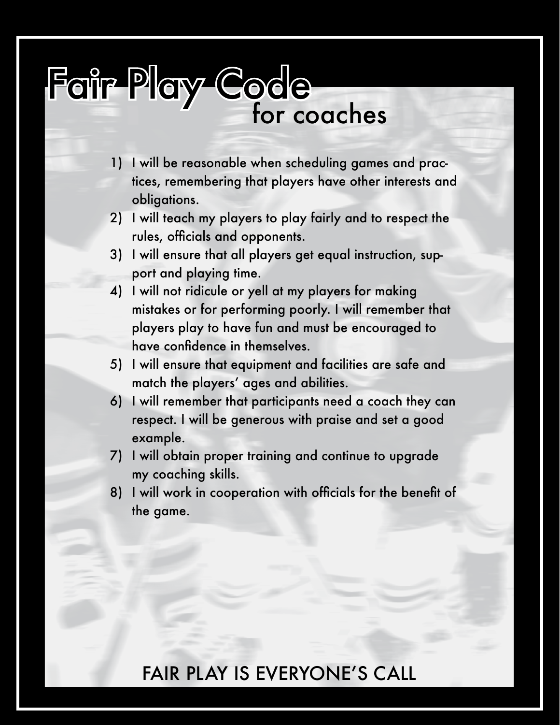## Fair Play Code **for coaches**

- 1) I will be reasonable when scheduling games and practices, remembering that players have other interests and obligations.
- 2) I will teach my players to play fairly and to respect the rules, officials and opponents.
- 3) I will ensure that all players get equal instruction, support and playing time.
- 4) I will not ridicule or yell at my players for making mistakes or for performing poorly. I will remember that players play to have fun and must be encouraged to have confidence in themselves.
- 5) I will ensure that equipment and facilities are safe and match the players' ages and abilities.
- 6) I will remember that participants need a coach they can respect. I will be generous with praise and set a good example.
- 7) I will obtain proper training and continue to upgrade my coaching skills.
- 8) I will work in cooperation with officials for the benefit of the game.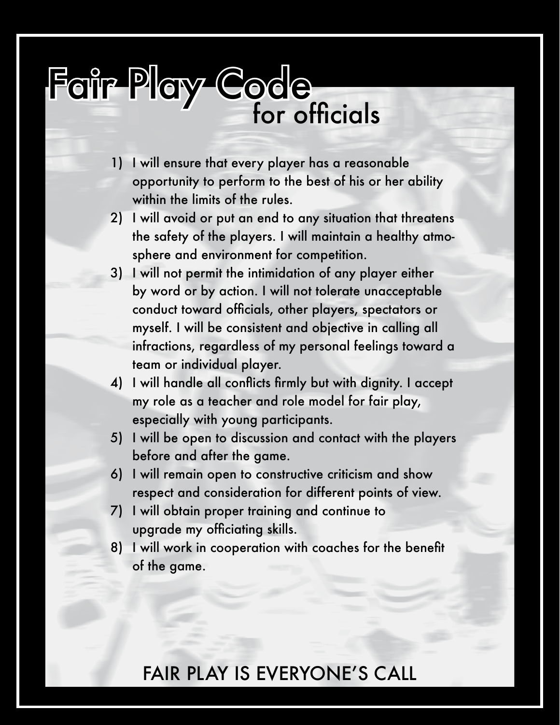# Fair Play Code<br>for officials

- 1) I will ensure that every player has a reasonable opportunity to perform to the best of his or her ability within the limits of the rules.
- 2) I will avoid or put an end to any situation that threatens the safety of the players. I will maintain a healthy atmosphere and environment for competition.
- 3) I will not permit the intimidation of any player either by word or by action. I will not tolerate unacceptable conduct toward officials, other players, spectators or myself. I will be consistent and objective in calling all infractions, regardless of my personal feelings toward a team or individual player.
- 4) I will handle all conflicts firmly but with dignity. I accept my role as a teacher and role model for fair play, especially with young participants.
- 5) I will be open to discussion and contact with the players before and after the game.
- 6) I will remain open to constructive criticism and show respect and consideration for different points of view.
- 7) I will obtain proper training and continue to upgrade my officiating skills.
- 8) I will work in cooperation with coaches for the benefit of the game.